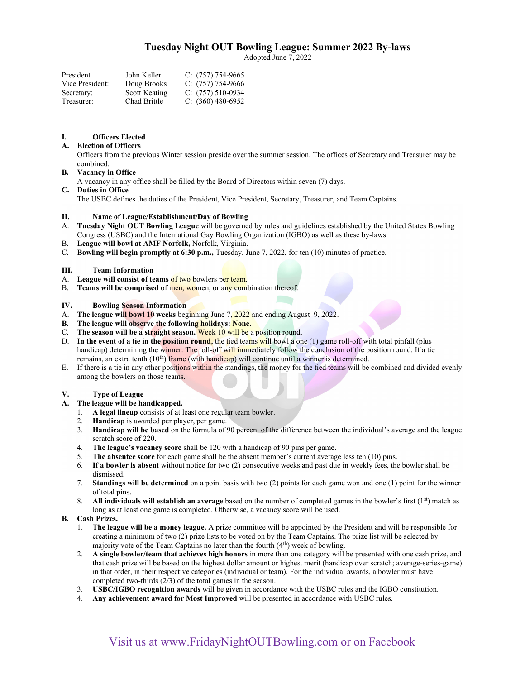# Tuesday Night OUT Bowling League: Summer 2022 By-laws

Adopted June 7, 2022

| President       | John Keller   | $C: (757) 754-9665$ |
|-----------------|---------------|---------------------|
| Vice President: | Doug Brooks   | $C: (757) 754-9666$ |
| Secretary:      | Scott Keating | $C: (757) 510-0934$ |
| Treasurer:      | Chad Brittle  | C: $(360)$ 480-6952 |

### I. Officers Elected

### A. Election of Officers

Officers from the previous Winter session preside over the summer session. The offices of Secretary and Treasurer may be combined.

### B. Vacancy in Office

A vacancy in any office shall be filled by the Board of Directors within seven (7) days.

# C. Duties in Office

The USBC defines the duties of the President, Vice President, Secretary, Treasurer, and Team Captains.

### II. Name of League/Establishment/Day of Bowling

- A. Tuesday Night OUT Bowling League will be governed by rules and guidelines established by the United States Bowling Congress (USBC) and the International Gay Bowling Organization (IGBO) as well as these by-laws.
- B. League will bowl at AMF Norfolk, Norfolk, Virginia.
- C. Bowling will begin promptly at 6:30 p.m., Tuesday, June 7, 2022, for ten (10) minutes of practice.

### III. Team Information

- A. League will consist of teams of two bowlers per team.
- B. Teams will be comprised of men, women, or any combination thereof.

### IV. Bowling Season Information

- A. The league will bowl 10 weeks beginning June 7, 2022 and ending August 9, 2022.
- B. The league will observe the following holidays: None.
- C. The season will be a straight season. Week  $10$  will be a position round.
- D. In the event of a tie in the position round, the tied teams will bowl a one (1) game roll-off with total pinfall (plus handicap) determining the winner. The roll-off will immediately follow the conclusion of the position round. If a tie remains, an extra tenth (10<sup>th</sup>) frame (with handicap) will continue until a winner is determined.
- E. If there is a tie in any other positions within the standings, the money for the tied teams will be combined and divided evenly among the bowlers on those teams.

### V. Type of League

- A. The league will be handicapped.
	- 1. A legal lineup consists of at least one regular team bowler.
	- 2. Handicap is awarded per player, per game.
	- 3. Handicap will be based on the formula of 90 percent of the difference between the individual's average and the league scratch score of 220.
	- 4. The league's vacancy score shall be 120 with a handicap of 90 pins per game.<br>5. The absentee score for each game shall be the absent member's current average
	- The absentee score for each game shall be the absent member's current average less ten (10) pins.
	- 6. If a bowler is absent without notice for two (2) consecutive weeks and past due in weekly fees, the bowler shall be dismissed.
	- 7. Standings will be determined on a point basis with two (2) points for each game won and one (1) point for the winner of total pins.
	- 8. All individuals will establish an average based on the number of completed games in the bowler's first  $(1<sup>st</sup>)$  match as long as at least one game is completed. Otherwise, a vacancy score will be used.

### B. Cash Prizes.

- 1. The league will be a money league. A prize committee will be appointed by the President and will be responsible for creating a minimum of two (2) prize lists to be voted on by the Team Captains. The prize list will be selected by majority vote of the Team Captains no later than the fourth  $(4<sup>th</sup>)$  week of bowling.
- 2. A single bowler/team that achieves high honors in more than one category will be presented with one cash prize, and that cash prize will be based on the highest dollar amount or highest merit (handicap over scratch; average-series-game) in that order, in their respective categories (individual or team). For the individual awards, a bowler must have completed two-thirds (2/3) of the total games in the season.
- 3. USBC/IGBO recognition awards will be given in accordance with the USBC rules and the IGBO constitution.
- 4. Any achievement award for Most Improved will be presented in accordance with USBC rules.

# Visit us at www.FridayNightOUTBowling.com or on Facebook